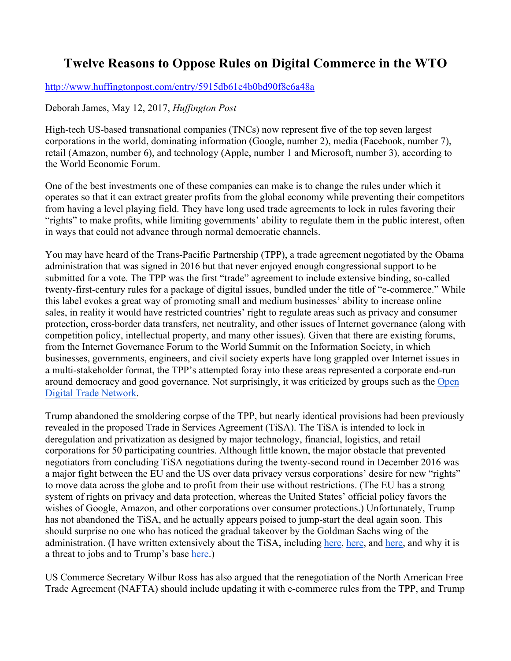## **Twelve Reasons to Oppose Rules on Digital Commerce in the WTO**

http://www.huffingtonpost.com/entry/5915db61e4b0bd90f8e6a48a

Deborah James, May 12, 2017, *Huffington Post*

High-tech US-based transnational companies (TNCs) now represent five of the top seven largest corporations in the world, dominating information (Google, number 2), media (Facebook, number 7), retail (Amazon, number 6), and technology (Apple, number 1 and Microsoft, number 3), according to the World Economic Forum.

One of the best investments one of these companies can make is to change the rules under which it operates so that it can extract greater profits from the global economy while preventing their competitors from having a level playing field. They have long used trade agreements to lock in rules favoring their "rights" to make profits, while limiting governments' ability to regulate them in the public interest, often in ways that could not advance through normal democratic channels.

You may have heard of the Trans-Pacific Partnership (TPP), a trade agreement negotiated by the Obama administration that was signed in 2016 but that never enjoyed enough congressional support to be submitted for a vote. The TPP was the first "trade" agreement to include extensive binding, so-called twenty-first-century rules for a package of digital issues, bundled under the title of "e-commerce." While this label evokes a great way of promoting small and medium businesses' ability to increase online sales, in reality it would have restricted countries' right to regulate areas such as privacy and consumer protection, cross-border data transfers, net neutrality, and other issues of Internet governance (along with competition policy, intellectual property, and many other issues). Given that there are existing forums, from the Internet Governance Forum to the World Summit on the Information Society, in which businesses, governments, engineers, and civil society experts have long grappled over Internet issues in a multi-stakeholder format, the TPP's attempted foray into these areas represented a corporate end-run around democracy and good governance. Not surprisingly, it was criticized by groups such as the Open Digital Trade Network.

Trump abandoned the smoldering corpse of the TPP, but nearly identical provisions had been previously revealed in the proposed Trade in Services Agreement (TiSA). The TiSA is intended to lock in deregulation and privatization as designed by major technology, financial, logistics, and retail corporations for 50 participating countries. Although little known, the major obstacle that prevented negotiators from concluding TiSA negotiations during the twenty-second round in December 2016 was a major fight between the EU and the US over data privacy versus corporations' desire for new "rights" to move data across the globe and to profit from their use without restrictions. (The EU has a strong system of rights on privacy and data protection, whereas the United States' official policy favors the wishes of Google, Amazon, and other corporations over consumer protections.) Unfortunately, Trump has not abandoned the TiSA, and he actually appears poised to jump-start the deal again soon. This should surprise no one who has noticed the gradual takeover by the Goldman Sachs wing of the administration. (I have written extensively about the TiSA, including here, here, and here, and why it is a threat to jobs and to Trump's base here.)

US Commerce Secretary Wilbur Ross has also argued that the renegotiation of the North American Free Trade Agreement (NAFTA) should include updating it with e-commerce rules from the TPP, and Trump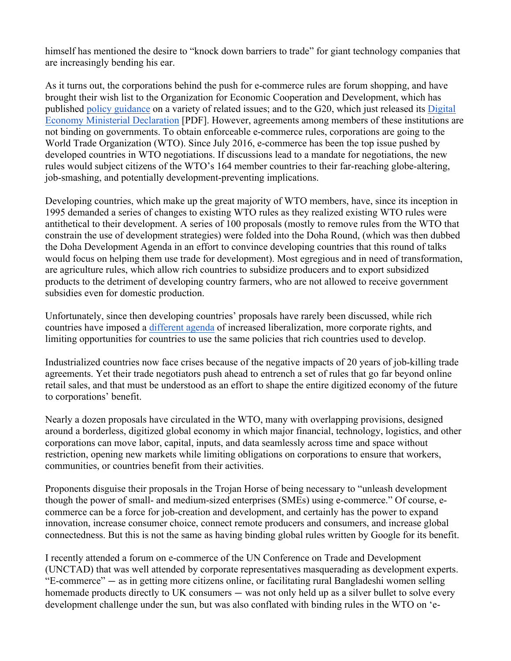himself has mentioned the desire to "knock down barriers to trade" for giant technology companies that are increasingly bending his ear.

As it turns out, the corporations behind the push for e-commerce rules are forum shopping, and have brought their wish list to the Organization for Economic Cooperation and Development, which has published policy guidance on a variety of related issues; and to the G20, which just released its Digital Economy Ministerial Declaration [PDF]. However, agreements among members of these institutions are not binding on governments. To obtain enforceable e-commerce rules, corporations are going to the World Trade Organization (WTO). Since July 2016, e-commerce has been the top issue pushed by developed countries in WTO negotiations. If discussions lead to a mandate for negotiations, the new rules would subject citizens of the WTO's 164 member countries to their far-reaching globe-altering, job-smashing, and potentially development-preventing implications.

Developing countries, which make up the great majority of WTO members, have, since its inception in 1995 demanded a series of changes to existing WTO rules as they realized existing WTO rules were antithetical to their development. A series of 100 proposals (mostly to remove rules from the WTO that constrain the use of development strategies) were folded into the Doha Round, (which was then dubbed the Doha Development Agenda in an effort to convince developing countries that this round of talks would focus on helping them use trade for development). Most egregious and in need of transformation, are agriculture rules, which allow rich countries to subsidize producers and to export subsidized products to the detriment of developing country farmers, who are not allowed to receive government subsidies even for domestic production.

Unfortunately, since then developing countries' proposals have rarely been discussed, while rich countries have imposed a different agenda of increased liberalization, more corporate rights, and limiting opportunities for countries to use the same policies that rich countries used to develop.

Industrialized countries now face crises because of the negative impacts of 20 years of job-killing trade agreements. Yet their trade negotiators push ahead to entrench a set of rules that go far beyond online retail sales, and that must be understood as an effort to shape the entire digitized economy of the future to corporations' benefit.

Nearly a dozen proposals have circulated in the WTO, many with overlapping provisions, designed around a borderless, digitized global economy in which major financial, technology, logistics, and other corporations can move labor, capital, inputs, and data seamlessly across time and space without restriction, opening new markets while limiting obligations on corporations to ensure that workers, communities, or countries benefit from their activities.

Proponents disguise their proposals in the Trojan Horse of being necessary to "unleash development though the power of small- and medium-sized enterprises (SMEs) using e-commerce." Of course, ecommerce can be a force for job-creation and development, and certainly has the power to expand innovation, increase consumer choice, connect remote producers and consumers, and increase global connectedness. But this is not the same as having binding global rules written by Google for its benefit.

I recently attended a forum on e-commerce of the UN Conference on Trade and Development (UNCTAD) that was well attended by corporate representatives masquerading as development experts. "E-commerce" — as in getting more citizens online, or facilitating rural Bangladeshi women selling homemade products directly to UK consumers — was not only held up as a silver bullet to solve every development challenge under the sun, but was also conflated with binding rules in the WTO on 'e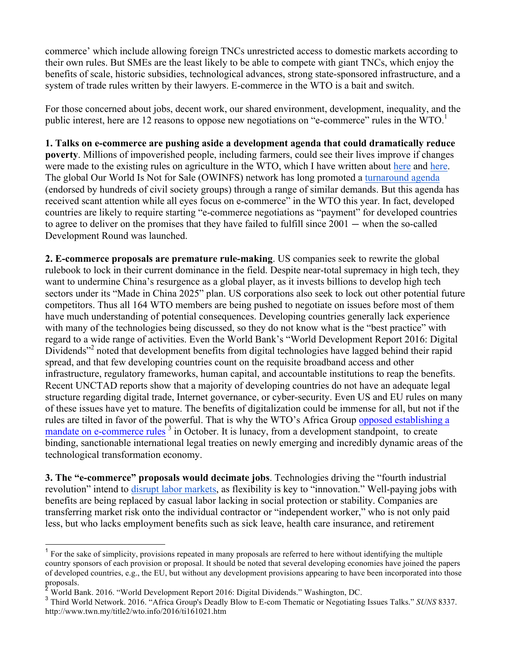commerce' which include allowing foreign TNCs unrestricted access to domestic markets according to their own rules. But SMEs are the least likely to be able to compete with giant TNCs, which enjoy the benefits of scale, historic subsidies, technological advances, strong state-sponsored infrastructure, and a system of trade rules written by their lawyers. E-commerce in the WTO is a bait and switch.

For those concerned about jobs, decent work, our shared environment, development, inequality, and the public interest, here are 12 reasons to oppose new negotiations on "e-commerce" rules in the  $WTO<sup>1</sup>$ 

**1. Talks on e-commerce are pushing aside a development agenda that could dramatically reduce poverty**. Millions of impoverished people, including farmers, could see their lives improve if changes were made to the existing rules on agriculture in the WTO, which I have written about here and here. The global Our World Is Not for Sale (OWINFS) network has long promoted a turnaround agenda (endorsed by hundreds of civil society groups) through a range of similar demands. But this agenda has received scant attention while all eyes focus on e-commerce" in the WTO this year. In fact, developed countries are likely to require starting "e-commerce negotiations as "payment" for developed countries to agree to deliver on the promises that they have failed to fulfill since 2001 — when the so-called Development Round was launched.

**2. E-commerce proposals are premature rule-making**. US companies seek to rewrite the global rulebook to lock in their current dominance in the field. Despite near-total supremacy in high tech, they want to undermine China's resurgence as a global player, as it invests billions to develop high tech sectors under its "Made in China 2025" plan. US corporations also seek to lock out other potential future competitors. Thus all 164 WTO members are being pushed to negotiate on issues before most of them have much understanding of potential consequences. Developing countries generally lack experience with many of the technologies being discussed, so they do not know what is the "best practice" with regard to a wide range of activities. Even the World Bank's "World Development Report 2016: Digital Dividends<sup>"2</sup> noted that development benefits from digital technologies have lagged behind their rapid spread, and that few developing countries count on the requisite broadband access and other infrastructure, regulatory frameworks, human capital, and accountable institutions to reap the benefits. Recent UNCTAD reports show that a majority of developing countries do not have an adequate legal structure regarding digital trade, Internet governance, or cyber-security. Even US and EU rules on many of these issues have yet to mature. The benefits of digitalization could be immense for all, but not if the rules are tilted in favor of the powerful. That is why the WTO's Africa Group opposed establishing a mandate on e-commerce rules  $3$  in October. It is lunacy, from a development standpoint, to create binding, sanctionable international legal treaties on newly emerging and incredibly dynamic areas of the technological transformation economy.

**3. The "e-commerce" proposals would decimate jobs**. Technologies driving the "fourth industrial revolution" intend to disrupt labor markets, as flexibility is key to "innovation." Well-paying jobs with benefits are being replaced by casual labor lacking in social protection or stability. Companies are transferring market risk onto the individual contractor or "independent worker," who is not only paid less, but who lacks employment benefits such as sick leave, health care insurance, and retirement

<sup>&</sup>lt;sup>1</sup> For the sake of simplicity, provisions repeated in many proposals are referred to here without identifying the multiple country sponsors of each provision or proposal. It should be noted that several developing economies have joined the papers of developed countries, e.g., the EU, but without any development provisions appearing to have been incorporated into those proposals.

<sup>2</sup> World Bank. 2016. "World Development Report 2016: Digital Dividends." Washington, DC.

<sup>3</sup> Third World Network. 2016. "Africa Group's Deadly Blow to E-com Thematic or Negotiating Issues Talks." *SUNS* 8337. http://www.twn.my/title2/wto.info/2016/ti161021.htm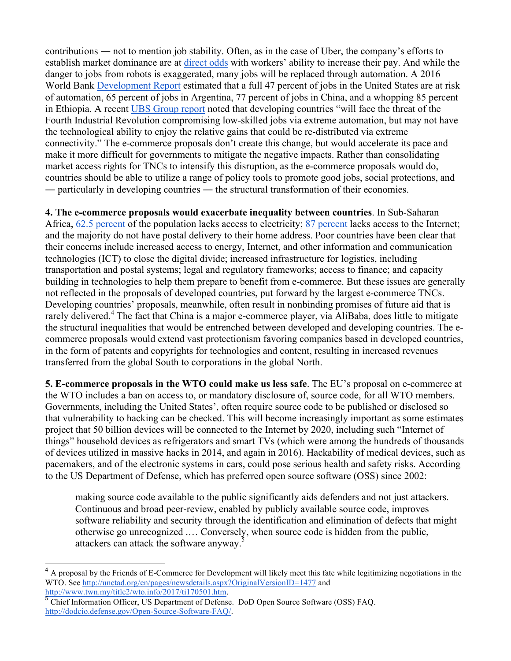contributions ― not to mention job stability. Often, as in the case of Uber, the company's efforts to establish market dominance are at direct odds with workers' ability to increase their pay. And while the danger to jobs from robots is exaggerated, many jobs will be replaced through automation. A 2016 World Bank Development Report estimated that a full 47 percent of jobs in the United States are at risk of automation, 65 percent of jobs in Argentina, 77 percent of jobs in China, and a whopping 85 percent in Ethiopia. A recent UBS Group report noted that developing countries "will face the threat of the Fourth Industrial Revolution compromising low-skilled jobs via extreme automation, but may not have the technological ability to enjoy the relative gains that could be re-distributed via extreme connectivity." The e-commerce proposals don't create this change, but would accelerate its pace and make it more difficult for governments to mitigate the negative impacts. Rather than consolidating market access rights for TNCs to intensify this disruption, as the e-commerce proposals would do, countries should be able to utilize a range of policy tools to promote good jobs, social protections, and ― particularly in developing countries ― the structural transformation of their economies.

**4. The e-commerce proposals would exacerbate inequality between countries**. In Sub-Saharan Africa, 62.5 percent of the population lacks access to electricity; 87 percent lacks access to the Internet; and the majority do not have postal delivery to their home address. Poor countries have been clear that their concerns include increased access to energy, Internet, and other information and communication technologies (ICT) to close the digital divide; increased infrastructure for logistics, including transportation and postal systems; legal and regulatory frameworks; access to finance; and capacity building in technologies to help them prepare to benefit from e-commerce. But these issues are generally not reflected in the proposals of developed countries, put forward by the largest e-commerce TNCs. Developing countries' proposals, meanwhile, often result in nonbinding promises of future aid that is rarely delivered.<sup>4</sup> The fact that China is a major e-commerce player, via AliBaba, does little to mitigate the structural inequalities that would be entrenched between developed and developing countries. The ecommerce proposals would extend vast protectionism favoring companies based in developed countries, in the form of patents and copyrights for technologies and content, resulting in increased revenues transferred from the global South to corporations in the global North.

**5. E-commerce proposals in the WTO could make us less safe**. The EU's proposal on e-commerce at the WTO includes a ban on access to, or mandatory disclosure of, source code, for all WTO members. Governments, including the United States', often require source code to be published or disclosed so that vulnerability to hacking can be checked. This will become increasingly important as some estimates project that 50 billion devices will be connected to the Internet by 2020, including such "Internet of things" household devices as refrigerators and smart TVs (which were among the hundreds of thousands of devices utilized in massive hacks in 2014, and again in 2016). Hackability of medical devices, such as pacemakers, and of the electronic systems in cars, could pose serious health and safety risks. According to the US Department of Defense, which has preferred open source software (OSS) since 2002:

making source code available to the public significantly aids defenders and not just attackers. Continuous and broad peer-review, enabled by publicly available source code, improves software reliability and security through the identification and elimination of defects that might otherwise go unrecognized .… Conversely, when source code is hidden from the public, attackers can attack the software anyway.<sup>5</sup>

<sup>&</sup>lt;sup>4</sup> A proposal by the Friends of E-Commerce for Development will likely meet this fate while legitimizing negotiations in the WTO. See http://unctad.org/en/pages/newsdetails.aspx?OriginalVersionID=1477 and http://www.twn.my/title2/wto.info/2017/ti170501.htm.

 $\frac{1}{6}$  Chief Information Officer, US Department of Defense. DoD Open Source Software (OSS) FAQ. http://dodcio.defense.gov/Open-Source-Software-FAQ/.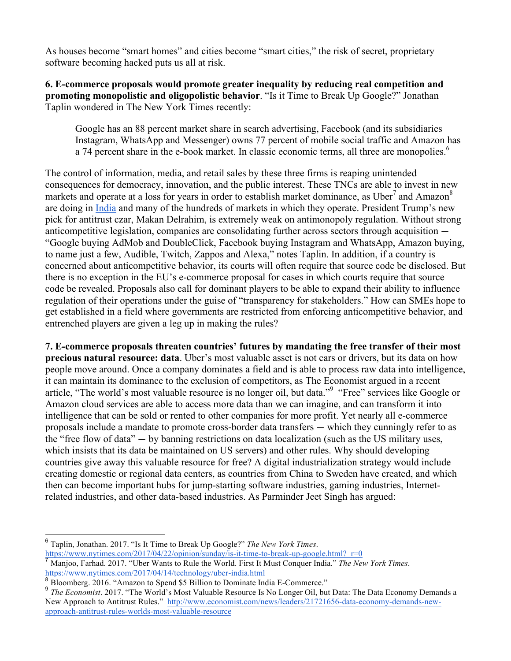As houses become "smart homes" and cities become "smart cities," the risk of secret, proprietary software becoming hacked puts us all at risk.

**6. E-commerce proposals would promote greater inequality by reducing real competition and promoting monopolistic and oligopolistic behavior**. "Is it Time to Break Up Google?" Jonathan Taplin wondered in The New York Times recently:

Google has an 88 percent market share in search advertising, Facebook (and its subsidiaries Instagram, WhatsApp and Messenger) owns 77 percent of mobile social traffic and Amazon has a 74 percent share in the e-book market. In classic economic terms, all three are monopolies.<sup>6</sup>

The control of information, media, and retail sales by these three firms is reaping unintended consequences for democracy, innovation, and the public interest. These TNCs are able to invest in new markets and operate at a loss for years in order to establish market dominance, as  $Uber<sup>7</sup>$  and Amazon $8$ are doing in India and many of the hundreds of markets in which they operate. President Trump's new pick for antitrust czar, Makan Delrahim, is extremely weak on antimonopoly regulation. Without strong anticompetitive legislation, companies are consolidating further across sectors through acquisition — "Google buying AdMob and DoubleClick, Facebook buying Instagram and WhatsApp, Amazon buying, to name just a few, Audible, Twitch, Zappos and Alexa," notes Taplin. In addition, if a country is concerned about anticompetitive behavior, its courts will often require that source code be disclosed. But there is no exception in the EU's e-commerce proposal for cases in which courts require that source code be revealed. Proposals also call for dominant players to be able to expand their ability to influence regulation of their operations under the guise of "transparency for stakeholders." How can SMEs hope to get established in a field where governments are restricted from enforcing anticompetitive behavior, and entrenched players are given a leg up in making the rules?

**7. E-commerce proposals threaten countries' futures by mandating the free transfer of their most precious natural resource: data**. Uber's most valuable asset is not cars or drivers, but its data on how people move around. Once a company dominates a field and is able to process raw data into intelligence, it can maintain its dominance to the exclusion of competitors, as The Economist argued in a recent article, "The world's most valuable resource is no longer oil, but data."<sup>9</sup> "Free" services like Google or Amazon cloud services are able to access more data than we can imagine, and can transform it into intelligence that can be sold or rented to other companies for more profit. Yet nearly all e-commerce proposals include a mandate to promote cross-border data transfers — which they cunningly refer to as the "free flow of data" — by banning restrictions on data localization (such as the US military uses, which insists that its data be maintained on US servers) and other rules. Why should developing countries give away this valuable resource for free? A digital industrialization strategy would include creating domestic or regional data centers, as countries from China to Sweden have created, and which then can become important hubs for jump-starting software industries, gaming industries, Internetrelated industries, and other data-based industries. As Parminder Jeet Singh has argued:

 <sup>6</sup> Taplin, Jonathan. 2017. "Is It Time to Break Up Google?" *The New York Times*. https://www.nytimes.com/2017/04/22/opinion/sunday/is-it-time-to-break-up-google.html?\_r=0

<sup>7</sup> Manjoo, Farhad. 2017. "Uber Wants to Rule the World. First It Must Conquer India." *The New York Times*. https://www.nytimes.com/2017/04/14/technology/uber-india.html<br>
<sup>8</sup> Please https://www.nytimes.com/2017/04/14/technology/uber-india.html

<sup>8</sup> Bloomberg. 2016. "Amazon to Spend \$5 Billion to Dominate India E-Commerce."

<sup>&</sup>lt;sup>9</sup> *The Economist.* 2017. "The World's Most Valuable Resource Is No Longer Oil, but Data: The Data Economy Demands a New Approach to Antitrust Rules." http://www.economist.com/news/leaders/21721656-data-economy-demands-newapproach-antitrust-rules-worlds-most-valuable-resource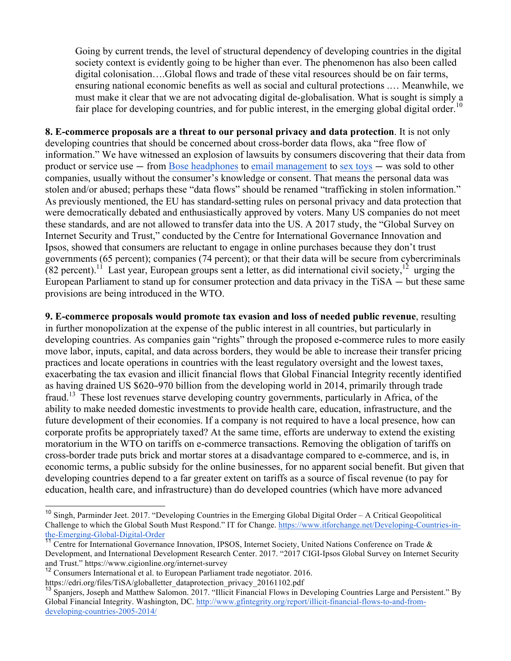Going by current trends, the level of structural dependency of developing countries in the digital society context is evidently going to be higher than ever. The phenomenon has also been called digital colonisation….Global flows and trade of these vital resources should be on fair terms, ensuring national economic benefits as well as social and cultural protections .… Meanwhile, we must make it clear that we are not advocating digital de-globalisation. What is sought is simply a fair place for developing countries, and for public interest, in the emerging global digital order.<sup>10</sup>

**8. E-commerce proposals are a threat to our personal privacy and data protection**. It is not only developing countries that should be concerned about cross-border data flows, aka "free flow of information." We have witnessed an explosion of lawsuits by consumers discovering that their data from product or service use — from Bose headphones to email management to sex toys — was sold to other companies, usually without the consumer's knowledge or consent. That means the personal data was stolen and/or abused; perhaps these "data flows" should be renamed "trafficking in stolen information." As previously mentioned, the EU has standard-setting rules on personal privacy and data protection that were democratically debated and enthusiastically approved by voters. Many US companies do not meet these standards, and are not allowed to transfer data into the US. A 2017 study, the "Global Survey on Internet Security and Trust," conducted by the Centre for International Governance Innovation and Ipsos, showed that consumers are reluctant to engage in online purchases because they don't trust governments (65 percent); companies (74 percent); or that their data will be secure from cybercriminals  $(82 \text{ percent})$ .<sup>11</sup> Last year, European groups sent a letter, as did international civil society,<sup>12</sup> urging the European Parliament to stand up for consumer protection and data privacy in the TiSA — but these same provisions are being introduced in the WTO.

**9. E-commerce proposals would promote tax evasion and loss of needed public revenue**, resulting in further monopolization at the expense of the public interest in all countries, but particularly in developing countries. As companies gain "rights" through the proposed e-commerce rules to more easily move labor, inputs, capital, and data across borders, they would be able to increase their transfer pricing practices and locate operations in countries with the least regulatory oversight and the lowest taxes, exacerbating the tax evasion and illicit financial flows that Global Financial Integrity recently identified as having drained US \$620–970 billion from the developing world in 2014, primarily through trade fraud.<sup>13</sup> These lost revenues starve developing country governments, particularly in Africa, of the ability to make needed domestic investments to provide health care, education, infrastructure, and the future development of their economies. If a company is not required to have a local presence, how can corporate profits be appropriately taxed? At the same time, efforts are underway to extend the existing moratorium in the WTO on tariffs on e-commerce transactions. Removing the obligation of tariffs on cross-border trade puts brick and mortar stores at a disadvantage compared to e-commerce, and is, in economic terms, a public subsidy for the online businesses, for no apparent social benefit. But given that developing countries depend to a far greater extent on tariffs as a source of fiscal revenue (to pay for education, health care, and infrastructure) than do developed countries (which have more advanced

<sup>&</sup>lt;sup>10</sup> Singh, Parminder Jeet. 2017. "Developing Countries in the Emerging Global Digital Order – A Critical Geopolitical Challenge to which the Global South Must Respond." IT for Change. https://www.itforchange.net/Developing-Countries-inthe-Emerging-Global-Digital-Order

<sup>&</sup>lt;sup>11</sup> Centre for International Governance Innovation, IPSOS, Internet Society, United Nations Conference on Trade & Development, and International Development Research Center. 2017. "2017 CIGI-Ipsos Global Survey on Internet Security and Trust." https://www.cigionline.org/internet-survey

 $12$  Consumers International et al. to European Parliament trade negotiator. 2016.

https://edri.org/files/TiSA/globalletter\_dataprotection\_privacy\_20161102.pdf

<sup>&</sup>lt;sup>13</sup> Spanjers, Joseph and Matthew Salomon. 2017. "Illicit Financial Flows in Developing Countries Large and Persistent." By Global Financial Integrity. Washington, DC. http://www.gfintegrity.org/report/illicit-financial-flows-to-and-fromdeveloping-countries-2005-2014/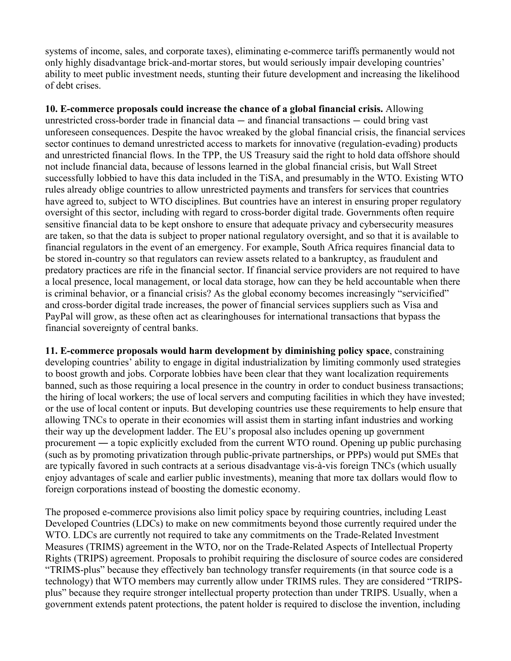systems of income, sales, and corporate taxes), eliminating e-commerce tariffs permanently would not only highly disadvantage brick-and-mortar stores, but would seriously impair developing countries' ability to meet public investment needs, stunting their future development and increasing the likelihood of debt crises.

**10. E-commerce proposals could increase the chance of a global financial crisis.** Allowing unrestricted cross-border trade in financial data — and financial transactions — could bring vast unforeseen consequences. Despite the havoc wreaked by the global financial crisis, the financial services sector continues to demand unrestricted access to markets for innovative (regulation-evading) products and unrestricted financial flows. In the TPP, the US Treasury said the right to hold data offshore should not include financial data, because of lessons learned in the global financial crisis, but Wall Street successfully lobbied to have this data included in the TiSA, and presumably in the WTO. Existing WTO rules already oblige countries to allow unrestricted payments and transfers for services that countries have agreed to, subject to WTO disciplines. But countries have an interest in ensuring proper regulatory oversight of this sector, including with regard to cross-border digital trade. Governments often require sensitive financial data to be kept onshore to ensure that adequate privacy and cybersecurity measures are taken, so that the data is subject to proper national regulatory oversight, and so that it is available to financial regulators in the event of an emergency. For example, South Africa requires financial data to be stored in-country so that regulators can review assets related to a bankruptcy, as fraudulent and predatory practices are rife in the financial sector. If financial service providers are not required to have a local presence, local management, or local data storage, how can they be held accountable when there is criminal behavior, or a financial crisis? As the global economy becomes increasingly "servicified" and cross-border digital trade increases, the power of financial services suppliers such as Visa and PayPal will grow, as these often act as clearinghouses for international transactions that bypass the financial sovereignty of central banks.

**11. E-commerce proposals would harm development by diminishing policy space**, constraining developing countries' ability to engage in digital industrialization by limiting commonly used strategies to boost growth and jobs. Corporate lobbies have been clear that they want localization requirements banned, such as those requiring a local presence in the country in order to conduct business transactions; the hiring of local workers; the use of local servers and computing facilities in which they have invested; or the use of local content or inputs. But developing countries use these requirements to help ensure that allowing TNCs to operate in their economies will assist them in starting infant industries and working their way up the development ladder. The EU's proposal also includes opening up government procurement ― a topic explicitly excluded from the current WTO round. Opening up public purchasing (such as by promoting privatization through public-private partnerships, or PPPs) would put SMEs that are typically favored in such contracts at a serious disadvantage vis-à-vis foreign TNCs (which usually enjoy advantages of scale and earlier public investments), meaning that more tax dollars would flow to foreign corporations instead of boosting the domestic economy.

The proposed e-commerce provisions also limit policy space by requiring countries, including Least Developed Countries (LDCs) to make on new commitments beyond those currently required under the WTO. LDCs are currently not required to take any commitments on the Trade-Related Investment Measures (TRIMS) agreement in the WTO, nor on the Trade-Related Aspects of Intellectual Property Rights (TRIPS) agreement. Proposals to prohibit requiring the disclosure of source codes are considered "TRIMS-plus" because they effectively ban technology transfer requirements (in that source code is a technology) that WTO members may currently allow under TRIMS rules. They are considered "TRIPSplus" because they require stronger intellectual property protection than under TRIPS. Usually, when a government extends patent protections, the patent holder is required to disclose the invention, including